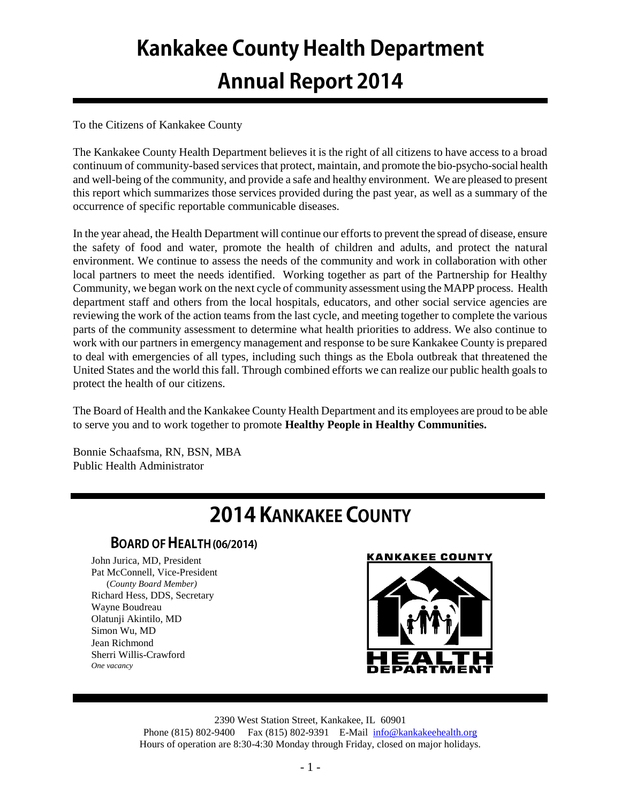# **Kankakee County Health Department Annual Report 2014**

## To the Citizens of Kankakee County

The Kankakee County Health Department believes it is the right of all citizens to have access to a broad continuum of community-based services that protect, maintain, and promote the bio-psycho-social health and well-being of the community, and provide a safe and healthy environment. We are pleased to present this report which summarizes those services provided during the past year, as well as a summary of the occurrence of specific reportable communicable diseases.

In the year ahead, the Health Department will continue our efforts to prevent the spread of disease, ensure the safety of food and water, promote the health of children and adults, and protect the natural environment. We continue to assess the needs of the community and work in collaboration with other local partners to meet the needs identified. Working together as part of the Partnership for Healthy Community, we began work on the next cycle of community assessment using the MAPP process. Health department staff and others from the local hospitals, educators, and other social service agencies are reviewing the work of the action teams from the last cycle, and meeting together to complete the various parts of the community assessment to determine what health priorities to address. We also continue to work with our partners in emergency management and response to be sure Kankakee County is prepared to deal with emergencies of all types, including such things as the Ebola outbreak that threatened the United States and the world this fall. Through combined efforts we can realize our public health goals to protect the health of our citizens.

The Board of Health and the Kankakee County Health Department and its employees are proud to be able to serve you and to work together to promote **Healthy People in Healthy Communities.**

Bonnie Schaafsma, RN, BSN, MBA Public Health Administrator

# **2014 KANKAKEE COUNTY**

# **BOARD OF HEALTH (06/2014)**

John Jurica, MD, President Pat McConnell, Vice-President (*County Board Member)* Richard Hess, DDS, Secretary Wayne Boudreau Olatunji Akintilo, MD Simon Wu, MD Jean Richmond Sherri Willis-Crawford *One vacancy*



2390 West Station Street, Kankakee, IL 60901 Phone (815) 802-9400 Fax (815) 802-9391 E-Mail [info@kankakeehealth.org](mailto:pkankake@idphnet.com) Hours of operation are 8:30-4:30 Monday through Friday, closed on major holidays.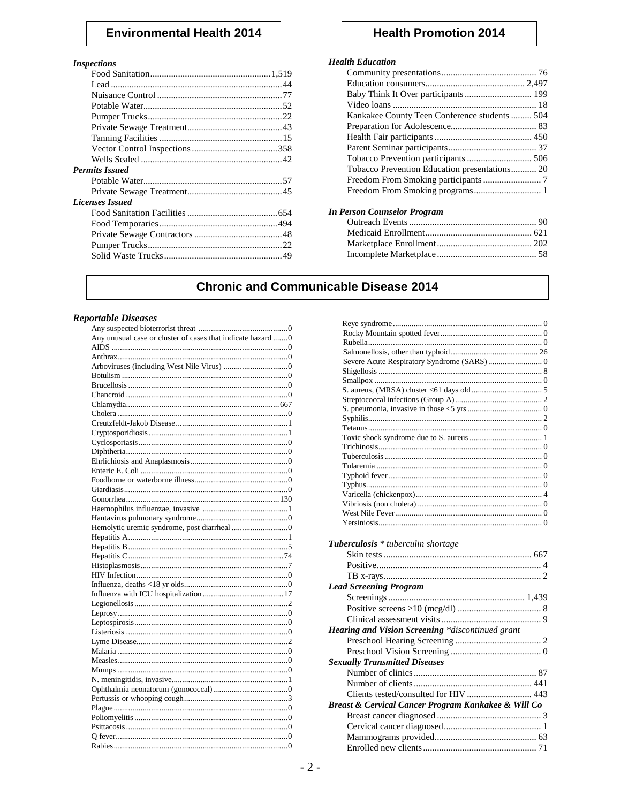# **Environmental Health 2014**

#### **Inspections**

| <b>Permits Issued</b>  |  |
|------------------------|--|
|                        |  |
|                        |  |
| <b>Licenses Issued</b> |  |
|                        |  |
|                        |  |
|                        |  |
|                        |  |
|                        |  |
|                        |  |

# **Health Promotion 2014**

## **Health Education**

| Kankakee County Teen Conference students 504  |  |
|-----------------------------------------------|--|
|                                               |  |
|                                               |  |
|                                               |  |
|                                               |  |
| Tobacco Prevention Education presentations 20 |  |
|                                               |  |
| Freedom From Smoking programs 1               |  |
|                                               |  |

#### **In Person Counselor Program**

# **Chronic and Communicable Disease 2014**

#### **Reportable Diseases**

| Any unusual case or cluster of cases that indicate hazard 0 |
|-------------------------------------------------------------|
|                                                             |
|                                                             |
|                                                             |
|                                                             |
|                                                             |
|                                                             |
|                                                             |
|                                                             |
|                                                             |
|                                                             |
|                                                             |
|                                                             |
|                                                             |
|                                                             |
|                                                             |
|                                                             |
|                                                             |
|                                                             |
|                                                             |
|                                                             |
|                                                             |
|                                                             |
|                                                             |
|                                                             |
|                                                             |
|                                                             |
|                                                             |
|                                                             |
|                                                             |
|                                                             |
|                                                             |
|                                                             |
|                                                             |
|                                                             |
|                                                             |
|                                                             |
|                                                             |
|                                                             |
|                                                             |
|                                                             |
|                                                             |
|                                                             |
|                                                             |
|                                                             |

| Tuberculosis * tuberculin shortage                      |  |
|---------------------------------------------------------|--|
|                                                         |  |
|                                                         |  |
|                                                         |  |
| <b>Lead Screening Program</b>                           |  |
|                                                         |  |
|                                                         |  |
|                                                         |  |
|                                                         |  |
| <b>Hearing and Vision Screening *discontinued grant</b> |  |
|                                                         |  |
|                                                         |  |
| <b>Sexually Transmitted Diseases</b>                    |  |
|                                                         |  |
|                                                         |  |
| Clients tested/consulted for HIV  443                   |  |
| Breast & Cervical Cancer Program Kankakee & Will Co     |  |
|                                                         |  |
|                                                         |  |
|                                                         |  |
|                                                         |  |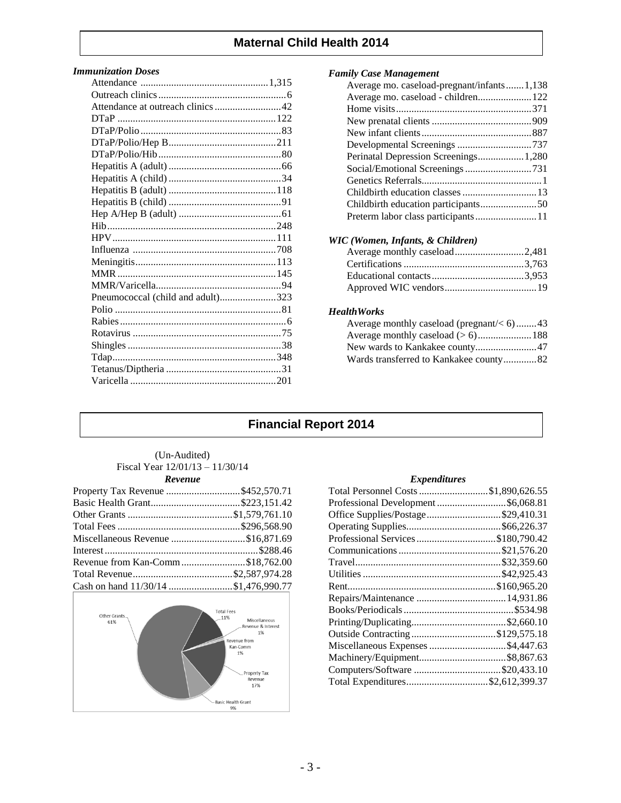# **Maternal Child Health 2014**

#### *Immunization Doses*

| Attendance at outreach clinics 42 |  |
|-----------------------------------|--|
|                                   |  |
|                                   |  |
|                                   |  |
|                                   |  |
|                                   |  |
|                                   |  |
|                                   |  |
|                                   |  |
|                                   |  |
|                                   |  |
|                                   |  |
|                                   |  |
|                                   |  |
|                                   |  |
|                                   |  |
| Pneumococcal (child and adult)323 |  |
|                                   |  |
|                                   |  |
|                                   |  |
|                                   |  |
|                                   |  |
|                                   |  |
|                                   |  |
|                                   |  |

#### *Family Case Management*

| Average mo. caseload-pregnant/infants1,138 |
|--------------------------------------------|
| Average mo. caseload - children 122        |
|                                            |
|                                            |
|                                            |
|                                            |
| Perinatal Depression Screenings 1,280      |
|                                            |
|                                            |
|                                            |
|                                            |
|                                            |
|                                            |

## *WIC (Women, Infants, & Children)*

#### *HealthWorks*

| Average monthly caseload (pregnant/ $< 6$ )43 |  |
|-----------------------------------------------|--|
|                                               |  |
|                                               |  |
| Wards transferred to Kankakee county82        |  |

# **Financial Report 2014**

#### (Un-Audited) Fiscal Year 12/01/13 – 11/30/14 *Revenue*

| Property Tax Revenue \$452,570.71    |  |
|--------------------------------------|--|
|                                      |  |
|                                      |  |
|                                      |  |
| Miscellaneous Revenue \$16,871.69    |  |
|                                      |  |
| Revenue from Kan-Comm\$18,762.00     |  |
|                                      |  |
| Cash on hand 11/30/14 \$1,476,990.77 |  |



#### *Expenditures*

| Total Personnel Costs \$1,890,626.55 |
|--------------------------------------|
| Professional Development  \$6,068.81 |
| Office Supplies/Postage\$29,410.31   |
|                                      |
| Professional Services \$180,790.42   |
|                                      |
|                                      |
|                                      |
|                                      |
|                                      |
|                                      |
|                                      |
|                                      |
| Miscellaneous Expenses \$4,447.63    |
|                                      |
| Computers/Software \$20,433.10       |
| Total Expenditures\$2,612,399.37     |
|                                      |